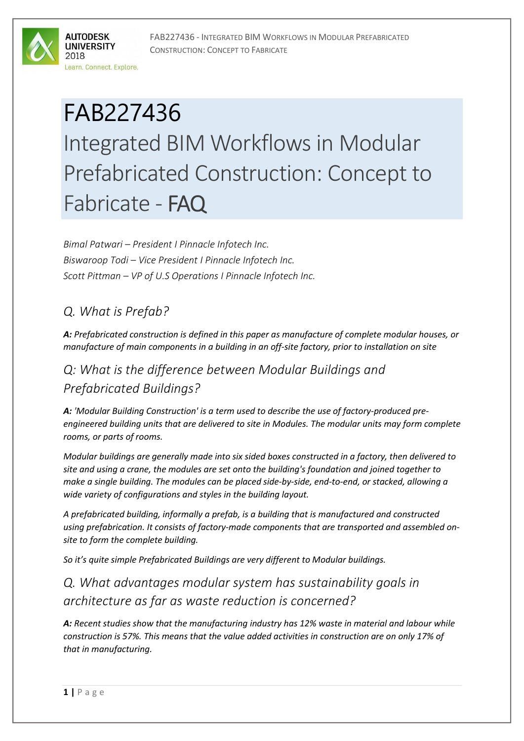FAB227436 - INTEGRATED BIM WORKFLOWS IN MODULAR PREFABRICATED CONSTRUCTION: CONCEPT TO FABRICATE



# FAB227436 Integrated BIM Workflows in Modular Prefabricated Construction: Concept to Fabricate - FAQ

*Bimal Patwari – President I Pinnacle Infotech Inc. Biswaroop Todi – Vice President I Pinnacle Infotech Inc. Scott Pittman – VP of U.S Operations I Pinnacle Infotech Inc.*

### *Q. What is Prefab?*

*A: Prefabricated construction is defined in this paper as manufacture of complete modular houses, or manufacture of main components in a building in an off-site factory, prior to installation on site*

## *Q: What is the difference between Modular Buildings and Prefabricated Buildings?*

*A: 'Modular Building Construction' is a term used to describe the use of factory-produced preengineered building units that are delivered to site in Modules. The modular units may form complete rooms, or parts of rooms.*

*Modular buildings are generally made into six sided boxes constructed in a factory, then delivered to site and using a crane, the modules are set onto the building's foundation and joined together to make a single building. The modules can be placed side-by-side, end-to-end, or stacked, allowing a wide variety of configurations and styles in the building layout.* 

*A prefabricated building, informally a prefab, is a building that is manufactured and constructed using prefabrication. It consists of factory-made components that are transported and assembled onsite to form the complete building.*

*So it's quite simple Prefabricated Buildings are very different to Modular buildings.* 

*Q. What advantages modular system has sustainability goals in architecture as far as waste reduction is concerned?*

*A: Recent studies show that the manufacturing industry has 12% waste in material and labour while construction is 57%. This means that the value added activities in construction are on only 17% of that in manufacturing.*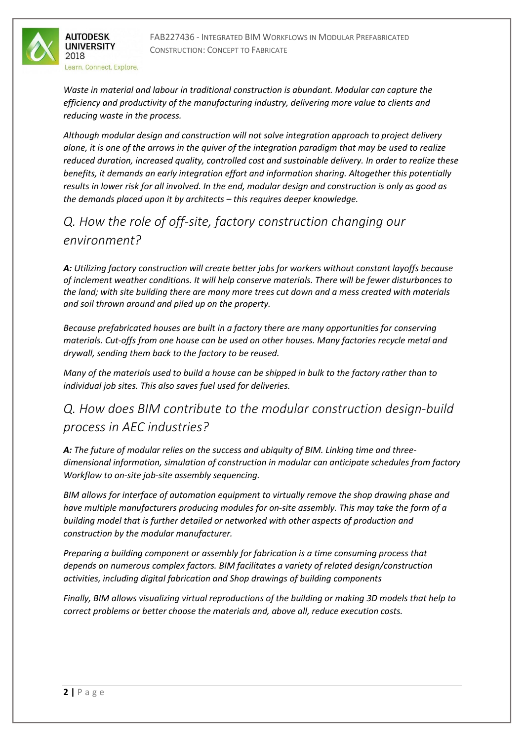

Learn, Connect, Explore.

*Waste in material and labour in traditional construction is abundant. Modular can capture the efficiency and productivity of the manufacturing industry, delivering more value to clients and reducing waste in the process.*

*Although modular design and construction will not solve integration approach to project delivery alone, it is one of the arrows in the quiver of the integration paradigm that may be used to realize reduced duration, increased quality, controlled cost and sustainable delivery. In order to realize these benefits, it demands an early integration effort and information sharing. Altogether this potentially results in lower risk for all involved. In the end, modular design and construction is only as good as the demands placed upon it by architects – this requires deeper knowledge.*

## *Q. How the role of off-site, factory construction changing our environment?*

*A: Utilizing factory construction will create better jobs for workers without constant layoffs because of inclement weather conditions. It will help conserve materials. There will be fewer disturbances to the land; with site building there are many more trees cut down and a mess created with materials and soil thrown around and piled up on the property.* 

*Because prefabricated houses are built in a factory there are many opportunities for conserving materials. Cut-offs from one house can be used on other houses. Many factories recycle metal and drywall, sending them back to the factory to be reused.*

*Many of the materials used to build a house can be shipped in bulk to the factory rather than to individual job sites. This also saves fuel used for deliveries.*

## *Q. How does BIM contribute to the modular construction design-build process in AEC industries?*

*A: The future of modular relies on the success and ubiquity of BIM. Linking time and threedimensional information, simulation of construction in modular can anticipate schedules from factory Workflow to on-site job-site assembly sequencing.* 

*BIM allows for interface of automation equipment to virtually remove the shop drawing phase and have multiple manufacturers producing modules for on-site assembly. This may take the form of a building model that is further detailed or networked with other aspects of production and construction by the modular manufacturer.*

*Preparing a building component or assembly for fabrication is a time consuming process that depends on numerous complex factors. BIM facilitates a variety of related design/construction activities, including digital fabrication and Shop drawings of building components*

*Finally, BIM allows visualizing virtual reproductions of the building or making 3D models that help to correct problems or better choose the materials and, above all, reduce execution costs.*